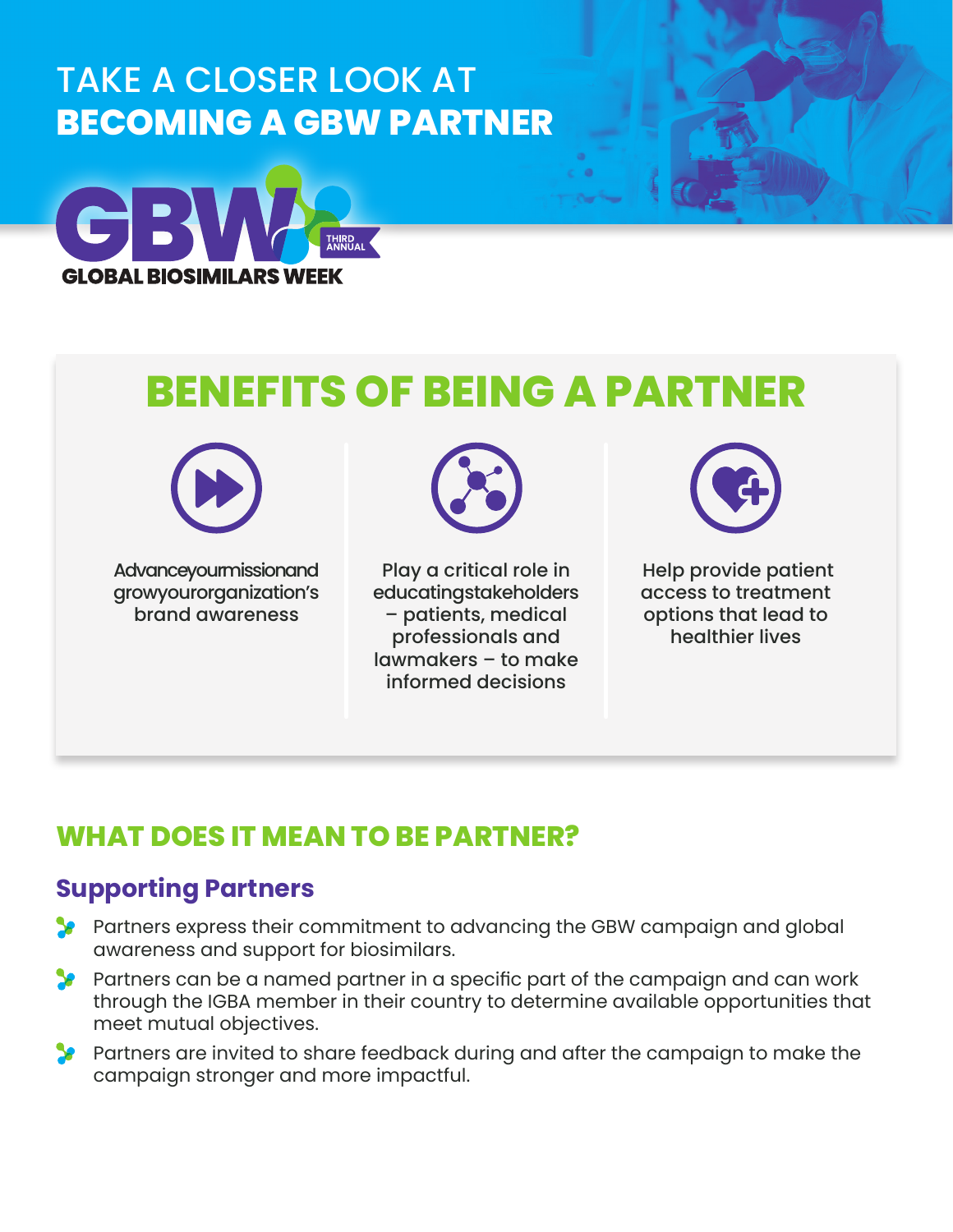## TAKE A CLOSER LOOK AT **BECOMING A GBW PARTNER**



# **BENEFITS OF BEING A PARTNER**



**Advanceyourmissionand** growy our organization's brand awareness



Play a critical role in educating stakeholders – patients, medical professionals and lawmakers – to make informed decisions



 Help provide patient access to treatment options that lead to healthier lives

### **WHAT DOES IT MEAN TO BE PARTNER?**

#### **Supporting Partners**

- Partners express their commitment to advancing the GBW campaign and global awareness and support for biosimilars.
- **Partners can be a named partner in a specific part of the campaign and can work** through the IGBA member in their country to determine available opportunities that meet mutual objectives.
- **Partners are invited to share feedback during and after the campaign to make the** campaign stronger and more impactful.